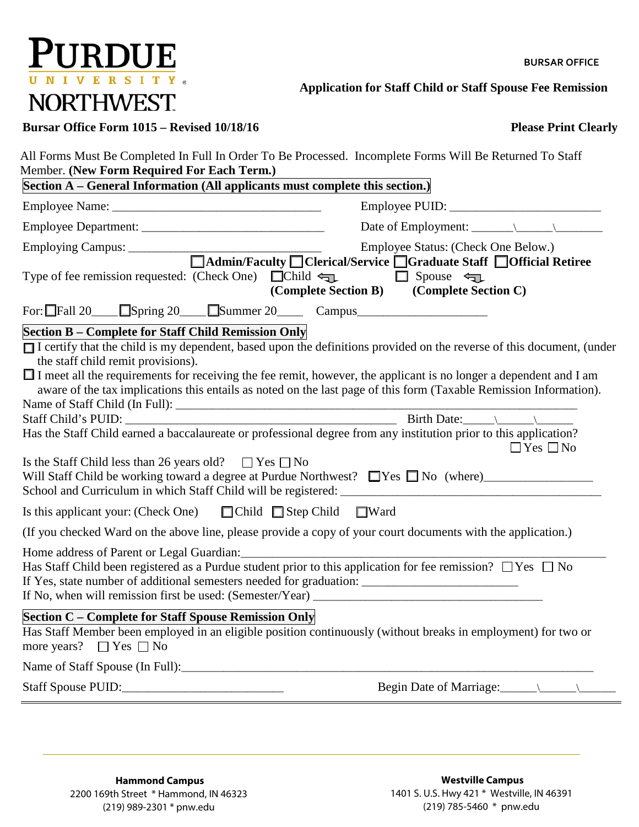## **PURDUE** ERSITY NORTHWEST.

 **Application for Staff Child or Staff Spouse Fee Remission** 

**Bursar Office Form 1015 – Revised 10/18/16** Please Print Clearly **Please Print Clearly** 

| <b>Please Print Clearly</b> |  |  |  |
|-----------------------------|--|--|--|
|-----------------------------|--|--|--|

| All Forms Must Be Completed In Full In Order To Be Processed. Incomplete Forms Will Be Returned To Staff                                                                                                                      |                                                                                                                              |  |
|-------------------------------------------------------------------------------------------------------------------------------------------------------------------------------------------------------------------------------|------------------------------------------------------------------------------------------------------------------------------|--|
| Member. (New Form Required For Each Term.)<br>Section A - General Information (All applicants must complete this section.)                                                                                                    |                                                                                                                              |  |
|                                                                                                                                                                                                                               |                                                                                                                              |  |
|                                                                                                                                                                                                                               |                                                                                                                              |  |
|                                                                                                                                                                                                                               |                                                                                                                              |  |
|                                                                                                                                                                                                                               |                                                                                                                              |  |
|                                                                                                                                                                                                                               |                                                                                                                              |  |
| Type of fee remission requested: (Check One) Child $\bigoplus$ Child $\bigoplus$ Spouse $\bigoplus$                                                                                                                           |                                                                                                                              |  |
|                                                                                                                                                                                                                               | (Complete Section B) (Complete Section C)                                                                                    |  |
| For: $\Box$ Fall 20 $\Box$ Spring 20 $\Box$ Summer 20 $\Box$ Campus $\Box$ $\Box$                                                                                                                                             |                                                                                                                              |  |
| Section B - Complete for Staff Child Remission Only                                                                                                                                                                           |                                                                                                                              |  |
| the staff child remit provisions).                                                                                                                                                                                            | $\Box$ I certify that the child is my dependent, based upon the definitions provided on the reverse of this document, (under |  |
| $\Box$ I meet all the requirements for receiving the fee remit, however, the applicant is no longer a dependent and I am                                                                                                      |                                                                                                                              |  |
| aware of the tax implications this entails as noted on the last page of this form (Taxable Remission Information).                                                                                                            |                                                                                                                              |  |
|                                                                                                                                                                                                                               |                                                                                                                              |  |
| Has the Staff Child earned a baccalaureate or professional degree from any institution prior to this application?                                                                                                             | $\Box$ Yes $\Box$ No                                                                                                         |  |
| Is the Staff Child less than 26 years old? $\Box$ Yes $\Box$ No                                                                                                                                                               |                                                                                                                              |  |
| Will Staff Child be working toward a degree at Purdue Northwest? $\Box$ Yes $\Box$ No (where)                                                                                                                                 |                                                                                                                              |  |
|                                                                                                                                                                                                                               |                                                                                                                              |  |
| Is this applicant your: (Check One) □ Child □ Step Child □ Ward                                                                                                                                                               |                                                                                                                              |  |
| (If you checked Ward on the above line, please provide a copy of your court documents with the application.)                                                                                                                  |                                                                                                                              |  |
| Has Staff Child been registered as a Purdue student prior to this application for fee remission? $\Box$ Yes $\Box$ No<br>If Yes, state number of additional semesters needed for graduation: ________________________________ |                                                                                                                              |  |
| <b>Section C - Complete for Staff Spouse Remission Only</b>                                                                                                                                                                   |                                                                                                                              |  |
| Has Staff Member been employed in an eligible position continuously (without breaks in employment) for two or<br>more years? $\Box$ Yes $\Box$ No                                                                             |                                                                                                                              |  |
|                                                                                                                                                                                                                               |                                                                                                                              |  |
| Staff Spouse PUID:                                                                                                                                                                                                            |                                                                                                                              |  |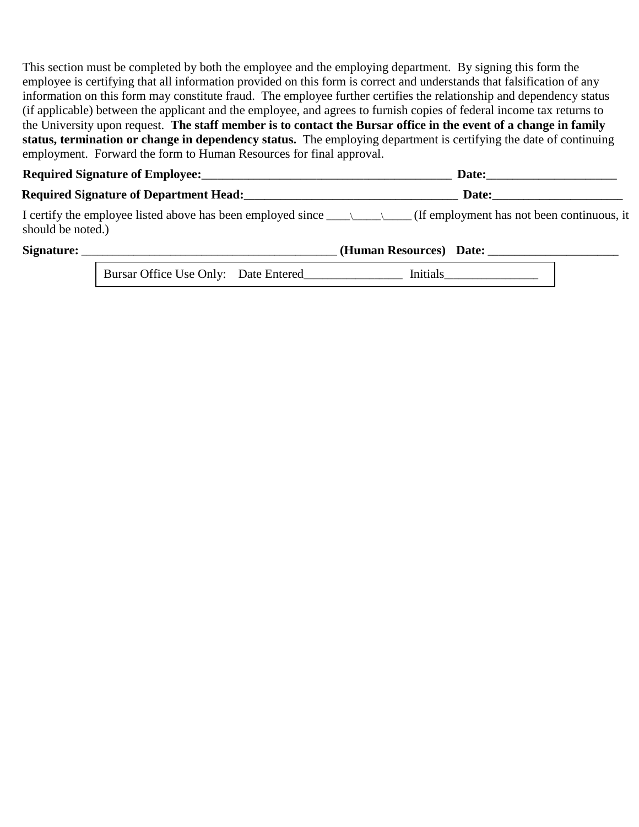This section must be completed by both the employee and the employing department. By signing this form the  **status, termination or change in dependency status.** The employing department is certifying the date of continuing employment. Forward the form to Human Resources for final approval. employee is certifying that all information provided on this form is correct and understands that falsification of any information on this form may constitute fraud. The employee further certifies the relationship and dependency status (if applicable) between the applicant and the employee, and agrees to furnish copies of federal income tax returns to the University upon request. **The staff member is to contact the Bursar office in the event of a change in family** 

| <b>Required Signature of Employee:</b>                                                  | Date:                                      |
|-----------------------------------------------------------------------------------------|--------------------------------------------|
| <b>Required Signature of Department Head:</b>                                           | Date:                                      |
| I certify the employee listed above has been employed since $\Box$<br>should be noted.) | (If employment has not been continuous, it |
| Signature:                                                                              | (Human Resources) Date:                    |

| Bursar Office Use Only: Date Entered |  | Initials |
|--------------------------------------|--|----------|
|--------------------------------------|--|----------|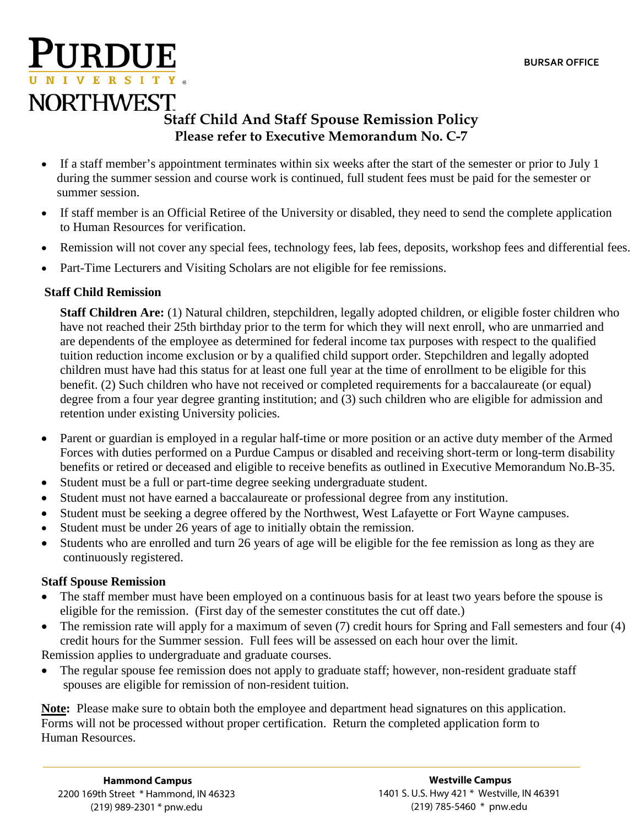# URDUE **NORTHWEST**

### **Staff Child And Staff Spouse Remission Policy Please refer to Executive Memorandum No. C-7**

- If a staff member's appointment terminates within six weeks after the start of the semester or prior to July 1 during the summer session and course work is continued, full student fees must be paid for the semester or summer session.
- If staff member is an Official Retiree of the University or disabled, they need to send the complete application to Human Resources for verification.
- Remission will not cover any special fees, technology fees, lab fees, deposits, workshop fees and differential fees.
- Part-Time Lecturers and Visiting Scholars are not eligible for fee remissions.

#### **Staff Child Remission**

 **Staff Children Are:** (1) Natural children, stepchildren, legally adopted children, or eligible foster children who degree from a four year degree granting institution; and (3) such children who are eligible for admission and have not reached their 25th birthday prior to the term for which they will next enroll, who are unmarried and are dependents of the employee as determined for federal income tax purposes with respect to the qualified tuition reduction income exclusion or by a qualified child support order. Stepchildren and legally adopted children must have had this status for at least one full year at the time of enrollment to be eligible for this benefit. (2) Such children who have not received or completed requirements for a baccalaureate (or equal) retention under existing University policies.

- • Parent or guardian is employed in a regular half-time or more position or an active duty member of the Armed Forces with duties performed on a Purdue Campus or disabled and receiving short-term or long-term disability benefits or retired or deceased and eligible to receive benefits as outlined in Executive Memorandum No.B-35.
- Student must be a full or part-time degree seeking undergraduate student.
- Student must not have earned a baccalaureate or professional degree from any institution.
- Student must be seeking a degree offered by the Northwest, West Lafayette or Fort Wayne campuses.
- Student must be under 26 years of age to initially obtain the remission.
- • Students who are enrolled and turn 26 years of age will be eligible for the fee remission as long as they are continuously registered.

#### **Staff Spouse Remission**

- The staff member must have been employed on a continuous basis for at least two years before the spouse is eligible for the remission. (First day of the semester constitutes the cut off date.)
- The remission rate will apply for a maximum of seven (7) credit hours for Spring and Fall semesters and four (4) credit hours for the Summer session. Full fees will be assessed on each hour over the limit.

Remission applies to undergraduate and graduate courses.

The regular spouse fee remission does not apply to graduate staff; however, non-resident graduate staff spouses are eligible for remission of non-resident tuition.

**Note:** Please make sure to obtain both the employee and department head signatures on this application. Forms will not be processed without proper certification. Return the completed application form to Human Resources.